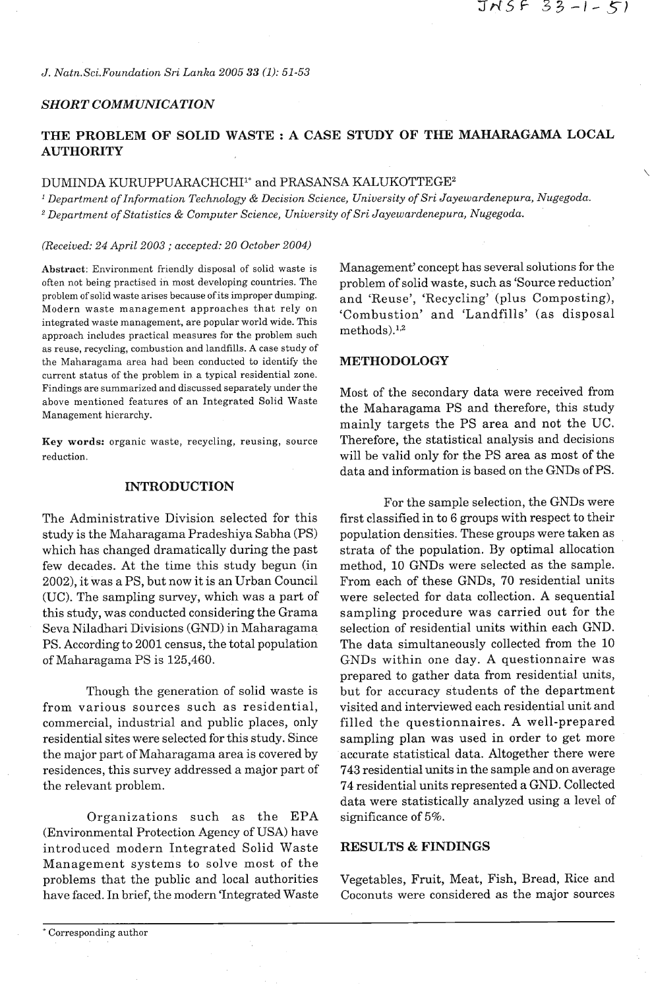*J. Natn.Sci. Foundation Sri Lanka 2005* 33 *(1): 51-53* 

### *SHORT COMMUNICATION*

# **THE PROBLEM OF SOLID WASTE** : **A CASE STUDY OF THE MAHARAGAMA LOCAL AUTHORITY**

# DUMINDA KURUPPUARACHCHI<sup>1\*</sup> and PRASANSA KALUKOTTEGE<sup>2</sup>

*Department of Information Technology* & *Decision Science, University of Sri Jayewardenepura, Nugegoda. Department of Statistics* & *Computer Science, University of Sri Jayewardenepura, Nugegoda.* 

*(Received: 24 April 2003* ; *accepted: 20 October 2004)* 

often not being practised in most developing countries. The problem of solid waste, such as 'Source reduction' problem of solid waste arises because of its improper dumping. <br>Modern waste management approaches that rely on (Combustion) and 'I and fille' (as dianosal Modern waste management approaches that rely on  $\epsilon$ Combustion' and 'Landfills' (as disposal integrated waste management, are popular world wide. This  $\epsilon$  methods).<sup>1,2</sup> approach includes practical measures for the problem such as reuse, recycling, combustion and landfills. **A** case study of the Maharagama area had been conducted to identify the **METHODOLOGY**  current status of the problem in a typical residential zone. Findings are summarized and discussed separately under the Most of the secondary data were received from above mentioned features of an Integrated Solid Waste above mentioned reatures of an integrated bond waste the Maharagama PS and therefore, this study the Maharagama PS and therefore, this study

**Key words:** organic waste, recycling, reusing, source reduction.

### **INTRODUCTION**

The Administrative Division selected for this study is the Maharagama Pradeshiya Sabha (PS) which has changed dramatically during the past few decades. At the time this study begun (in 2002), it was a PS, but now it is an Urban Council (UC). The sampling survey, which was a part of this study, was conducted considering the Grama Seva Niladhari Divisions (GND) in Maharagama PS. According to 2001 census, the total population of Maharagama PS is 125,460.

Though the generation of solid waste is from various sources such as residential, commercial, industrial and public places, only residential sites were selected for this study. Since the major part of Maharagama area is covered by residences, this survey addressed a major part of the relevant problem.

Organizations such as the EPA (Environmental Protection Agency of USA) have introduced modern Integrated Solid Waste Management systems to solve most of the problems that the public and local authorities have faced. In brief, the modern 'Integrated Waste

Abstract: Environment friendly disposal of solid waste is Management' concept has several solutions for the

mainly targets the PS area and not the UC. Therefore, the statistical analysis and decisions will be valid only for the PS area as most of the data and information is based on the GNDs of PS.

For the sample selection, the GNDs were first classified in to 6 groups with respect to their population densities. These groups were taken as strata of the population. By optimal allocation method, 10 GNDs were selected as the sample. From each of these GNDs, 70 residential units were selected for data collection. **A** sequential sampling procedure was carried out for the selection of residential units within each GND. The data simultaneously collected from the 10 GNDs within one day. A questionnaire was prepared to gather data from residential units, but for accuracy students of the department visited and interviewed each residential unit and filled the questionnaires. **A** well-prepared sampling plan was used in order to get more accurate statistical data. Altogether there were **743** residential units in the sample and on average 74 residential units represented a GND. Collected data were statistically analyzed using a level of significance of 5%.

# **RESULTS** & **FINDINGS**

Vegetables, Fruit, Meat, Fish, Bread, Rice and Coconuts were considered as the major sources

<sup>\*</sup> Corresponding author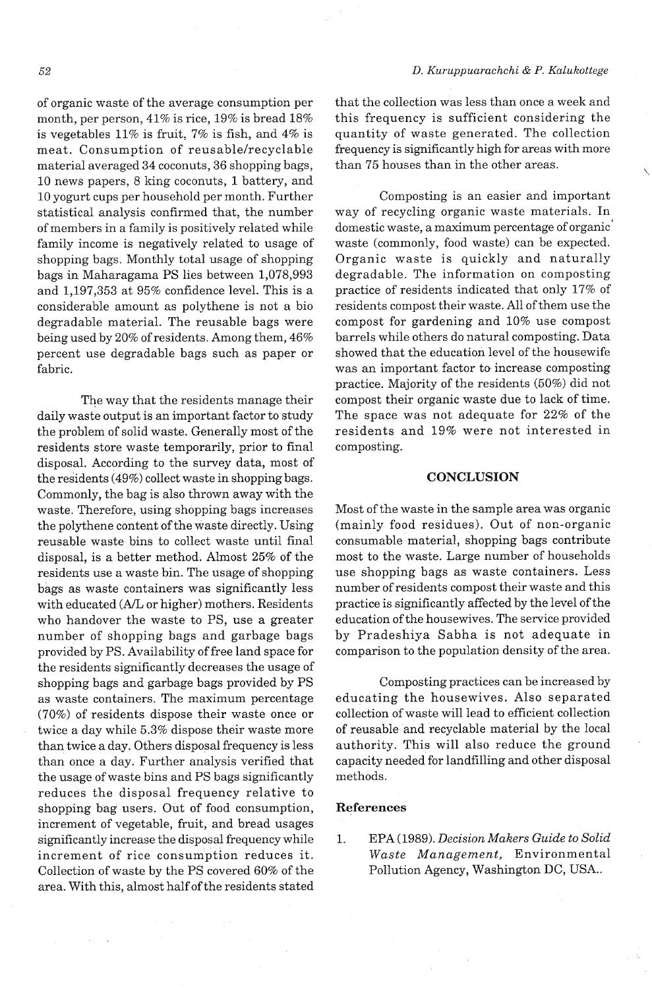of organic waste of the average consumption per month, per person, 41% is rice, 19% is bread 18% is vegetables 11% is fruit, 7% is fish, and 4% is meat. Consumption of reusable/recyclable material averaged 34 coconuts, 36 shopping bags, 10 news papers, 8 king coconuts, 1 battery, and 10 yogurt cups per household per month. Further statistical analysis confirmed that, the number of members in a family is positively related while family income is negatively related to usage of shopping bags. Monthly total usage of shopping bags in Maharagama PS lies between 1,078,993 and 1,197,353 at 95% confidence level. This is a considerable amount as polythene is not a bio degradable material. The reusable bags were being used by 20% of residents. Among them, 46% percent use degradable bags such as paper or fabric.

The way that the residents manage their daily waste output is an important factor to study the problem of solid waste. Generally most of the residents store waste temporarily, prior to final disposal. According to the survey data, most of the residents (49%) collect waste in shopping bags. Commonly, the bag is also thrown away with the waste. Therefore, using shopping bags increases the polythene content of the waste directly. Using reusable waste bins to collect waste until final disposal, is a better method. Almost 25% of the residents use a waste bin. The usage of shopping bags as waste containers was significantly less with educated (A/L or higher) mothers. Residents who handover the waste to PS, use a greater number of shopping bags and garbage bags provided by PS. Availability of free land space for the residents significantly decreases the usage of shopping bags and garbage bags provided by PS as waste containers. The maximum percentage (70%) of residents dispose their waste once or twice a day while 5.3% dispose their waste more than twice a day. Others disposal frequency is less than once a day. Further analysis verified that the usage of waste bins and PS bags significantly reduces the disposal frequency relative to shopping bag users. Out of food consumption, increment of vegetable, fruit, and bread usages significantly increase the disposal frequency while increment of rice consumption reduces it. Collection of waste by the PS covered 60% of the area. With this, almost half of the residents stated

that the collection was less than once a week and this frequency is sufficient considering the quantity of waste generated. The collection frequency is significantly high for areas with more than 75 houses than in the other areas.

Composting is an easier and important way of recycling organic waste materials. In domestic waste, a maximum percentage of organic' waste (commonly, food waste) can be expected. Organic waste is quickly and naturally degradable. The information on composting practice of residents indicated that only 17% of residents compost their waste. All of them use the compost for gardening and 10% use compost barrels while others do natural composting. Data showed that the education level of the housewife was an important factor to increase composting practice. Majority of the residents (50%) did not compost their organic waste due to lack of time. The space was not adequate for 22% of the residents and 19% were not interested in composting.

## **CONCLUSION**

Most of the waste in the sample area was organic (mainly food residues). Out of non-organic consumable material, shopping bags contribute most to the waste. Large number of households use shopping bags as waste containers. Less number of residents compost their waste and this practice is significantly affected by the level of the education of the housewives. The service provided by Pradeshiya Sabha is not adequate in comparison to the population density of the area.

Composting practices can be increased by educating the housewives. Also separated collection of waste will lead to efficient collection of reusable and recyclable material by the local authority. This will also reduce the ground capacity needed for landfilling and other disposal methods.

### **References**

1. EPA (1989). *Decision Makers Guide to Solid Waste Management,* Environmental Pollution Agency, Washington DC, USA..